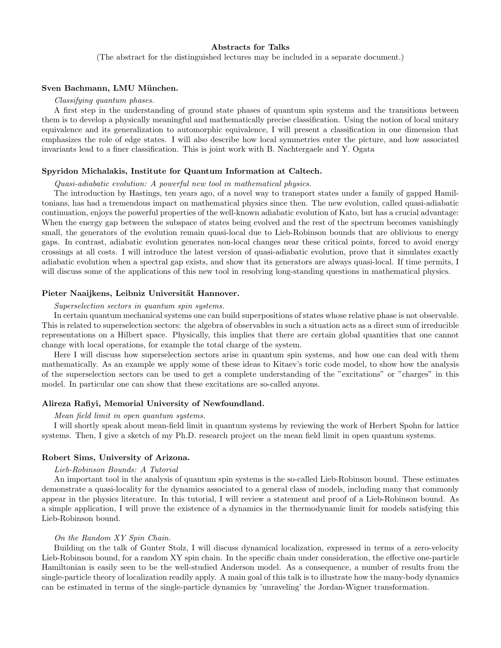# Abstracts for Talks

(The abstract for the distinguished lectures may be included in a separate document.)

## Sven Bachmann, LMU München.

### Classifying quantum phases.

A first step in the understanding of ground state phases of quantum spin systems and the transitions between them is to develop a physically meaningful and mathematically precise classification. Using the notion of local unitary equivalence and its generalization to automorphic equivalence, I will present a classification in one dimension that emphasizes the role of edge states. I will also describe how local symmetries enter the picture, and how associated invariants lead to a finer classification. This is joint work with B. Nachtergaele and Y. Ogata

# Spyridon Michalakis, Institute for Quantum Information at Caltech.

## Quasi-adiabatic evolution: A powerful new tool in mathematical physics.

The introduction by Hastings, ten years ago, of a novel way to transport states under a family of gapped Hamiltonians, has had a tremendous impact on mathematical physics since then. The new evolution, called quasi-adiabatic continuation, enjoys the powerful properties of the well-known adiabatic evolution of Kato, but has a crucial advantage: When the energy gap between the subspace of states being evolved and the rest of the spectrum becomes vanishingly small, the generators of the evolution remain quasi-local due to Lieb-Robinson bounds that are oblivious to energy gaps. In contrast, adiabatic evolution generates non-local changes near these critical points, forced to avoid energy crossings at all costs. I will introduce the latest version of quasi-adiabatic evolution, prove that it simulates exactly adiabatic evolution when a spectral gap exists, and show that its generators are always quasi-local. If time permits, I will discuss some of the applications of this new tool in resolving long-standing questions in mathematical physics.

# Pieter Naaijkens, Leibniz Universität Hannover.

## Superselection sectors in quantum spin systems.

In certain quantum mechanical systems one can build superpositions of states whose relative phase is not observable. This is related to superselection sectors: the algebra of observables in such a situation acts as a direct sum of irreducible representations on a Hilbert space. Physically, this implies that there are certain global quantities that one cannot change with local operations, for example the total charge of the system.

Here I will discuss how superselection sectors arise in quantum spin systems, and how one can deal with them mathematically. As an example we apply some of these ideas to Kitaev's toric code model, to show how the analysis of the superselection sectors can be used to get a complete understanding of the "excitations" or "charges" in this model. In particular one can show that these excitations are so-called anyons.

# Alireza Rafiyi, Memorial University of Newfoundland.

## Mean field limit in open quantum systems.

I will shortly speak about mean-field limit in quantum systems by reviewing the work of Herbert Spohn for lattice systems. Then, I give a sketch of my Ph.D. research project on the mean field limit in open quantum systems.

## Robert Sims, University of Arizona.

## Lieb-Robinson Bounds: A Tutorial

An important tool in the analysis of quantum spin systems is the so-called Lieb-Robinson bound. These estimates demonstrate a quasi-locality for the dynamics associated to a general class of models, including many that commonly appear in the physics literature. In this tutorial, I will review a statement and proof of a Lieb-Robinson bound. As a simple application, I will prove the existence of a dynamics in the thermodynamic limit for models satisfying this Lieb-Robinson bound.

#### On the Random XY Spin Chain.

Building on the talk of Gunter Stolz, I will discuss dynamical localization, expressed in terms of a zero-velocity Lieb-Robinson bound, for a random XY spin chain. In the specific chain under consideration, the effective one-particle Hamiltonian is easily seen to be the well-studied Anderson model. As a consequence, a number of results from the single-particle theory of localization readily apply. A main goal of this talk is to illustrate how the many-body dynamics can be estimated in terms of the single-particle dynamics by 'unraveling' the Jordan-Wigner transformation.